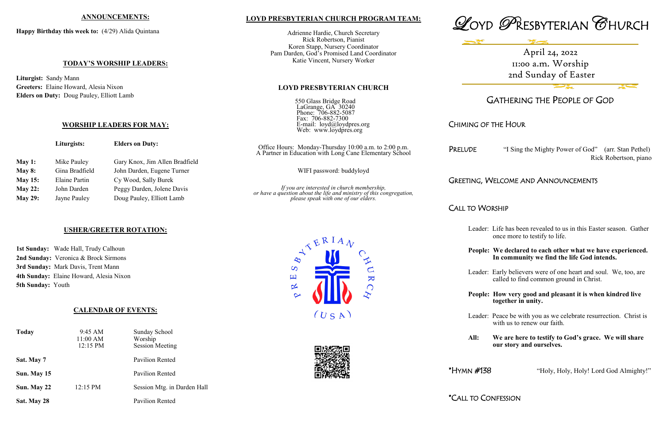### **LOYD PRESBYTERIAN CHURCH PROGRAM TEAM:**

550 Glass Bridge Road LaGrange, GA 30240 Phone: 706-882-5087 Fax: 706-882-7300 E-mail: loyd@loydpres.org Web: www.loydpres.org

Adrienne Hardie, Church Secretary Rick Robertson, Pianist Koren Stapp, Nursery Coordinator Pam Darden, God's Promised Land Coordinator Katie Vincent, Nursery Worker

### **LOYD PRESBYTERIAN CHURCH**

"I Sing the Mighty Power of God" (arr. Stan Pethel) Rick Robertson, piano

# **WELCOME AND ANNOUNCEMENTS**





# GATHERING THE PEOPLE OF GOD

# CHIMING OF THE HOUR

### CALL TO WORSHIP

- Leader: Life has been revealed to us in this Easter season. Gather once more to testify to life.
- **People: We declared to each other what we have experienced. In community we find the life God intends.**
- Leader: Early believers were of one heart and soul. We, too, are called to find common ground in Christ.
- **People: How very good and pleasant it is when kindred live together in unity.**

|                | Liturgists:    | <b>Elders on Duty:</b>         | Office Hours: Monday-Thursday 10:00 a.m. to 2:00 p.m.<br>A Partner in Education with Long Cane Elementary School    | PRELUDE        |
|----------------|----------------|--------------------------------|---------------------------------------------------------------------------------------------------------------------|----------------|
| May 1:         | Mike Pauley    | Gary Knox, Jim Allen Bradfield |                                                                                                                     |                |
| May $8:$       | Gina Bradfield | John Darden, Eugene Turner     | WIFI password: buddyloyd                                                                                            |                |
| <b>May 15:</b> | Elaine Partin  | Cy Wood, Sally Burek           |                                                                                                                     | Greeting,      |
| May 22:        | John Darden    | Peggy Darden, Jolene Davis     | If you are interested in church membership,<br>or have a question about the life and ministry of this congregation, |                |
| <b>May 29:</b> | Jayne Pauley   | Doug Pauley, Elliott Lamb      | please speak with one of our elders.                                                                                |                |
|                |                |                                |                                                                                                                     | $C$ ALL TO $M$ |

Leader: Peace be with you as we celebrate resurrection. Christ is with us to renew our faith.

**All: We are here to testify to God's grace. We will share our story and ourselves.**

\*HYMN #138 "Holy, Holy, Holy! Lord God Almighty!"

\*CALL TO CONFESSION



### **ANNOUNCEMENTS:**

**Happy Birthday this week to:** (4/29) Alida Quintana

### **TODAY'S WORSHIP LEADERS:**

**Liturgist:** Sandy Mann **Greeters:** Elaine Howard, Alesia Nixon **Elders on Duty:** Doug Pauley, Elliott Lamb

### **WORSHIP LEADERS FOR MAY:**

### **USHER/GREETER ROTATION:**

**1st Sunday:** Wade Hall, Trudy Calhoun **2nd Sunday:** Veronica & Brock Sirmons **3rd Sunday:** Mark Davis, Trent Mann **4th Sunday:** Elaine Howard, Alesia Nixon **5th Sunday:** Youth

### **CALENDAR OF EVENTS:**

| <b>Today</b> | 9:45 AM<br>11:00 AM<br>12:15 PM | Sunday School<br>Worship<br><b>Session Meeting</b> |
|--------------|---------------------------------|----------------------------------------------------|
| Sat. May 7   |                                 | <b>Pavilion Rented</b>                             |
| Sun. May 15  |                                 | <b>Pavilion Rented</b>                             |
| Sun. May 22  | 12:15 PM                        | Session Mtg. in Darden Hall                        |
| Sat. May 28  |                                 | <b>Pavilion Rented</b>                             |

April 24, 2022 11:00 a.m. Worship 2nd Sunday of Easter